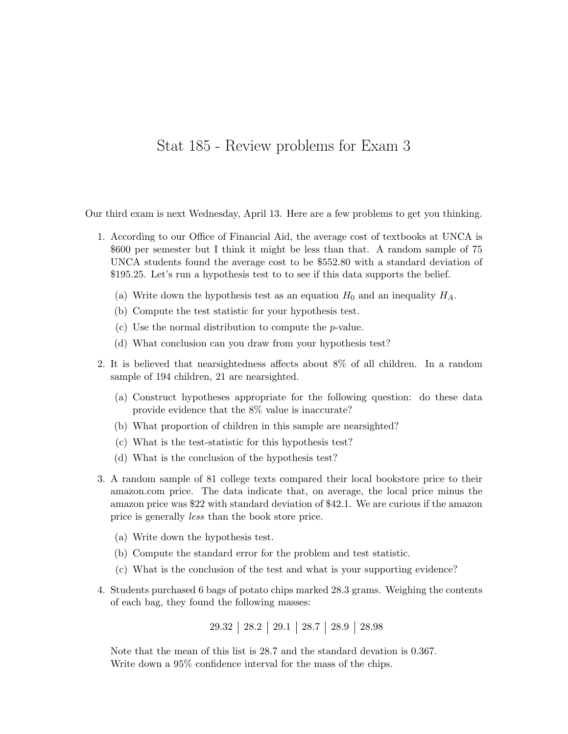## Stat 185 - Review problems for Exam 3

Our third exam is next Wednesday, April 13. Here are a few problems to get you thinking.

- 1. According to our Office of Financial Aid, the average cost of textbooks at UNCA is \$600 per semester but I think it might be less than that. A random sample of 75 UNCA students found the average cost to be \$552.80 with a standard deviation of \$195.25. Let's run a hypothesis test to to see if this data supports the belief.
	- (a) Write down the hypothesis test as an equation  $H_0$  and an inequality  $H_A$ .
	- (b) Compute the test statistic for your hypothesis test.
	- (c) Use the normal distribution to compute the  $p$ -value.
	- (d) What conclusion can you draw from your hypothesis test?
- 2. It is believed that nearsightedness affects about 8% of all children. In a random sample of 194 children, 21 are nearsighted.
	- (a) Construct hypotheses appropriate for the following question: do these data provide evidence that the 8% value is inaccurate?
	- (b) What proportion of children in this sample are nearsighted?
	- (c) What is the test-statistic for this hypothesis test?
	- (d) What is the conclusion of the hypothesis test?
- 3. A random sample of 81 college texts compared their local bookstore price to their amazon.com price. The data indicate that, on average, the local price minus the amazon price was \$22 with standard deviation of \$42.1. We are curious if the amazon price is generally less than the book store price.
	- (a) Write down the hypothesis test.
	- (b) Compute the standard error for the problem and test statistic.
	- (c) What is the conclusion of the test and what is your supporting evidence?
- 4. Students purchased 6 bags of potato chips marked 28.3 grams. Weighing the contents of each bag, they found the following masses:

29.32 28.2 29.1 28.7 28.9 28.98

Note that the mean of this list is 28.7 and the standard devation is 0.367. Write down a 95% confidence interval for the mass of the chips.